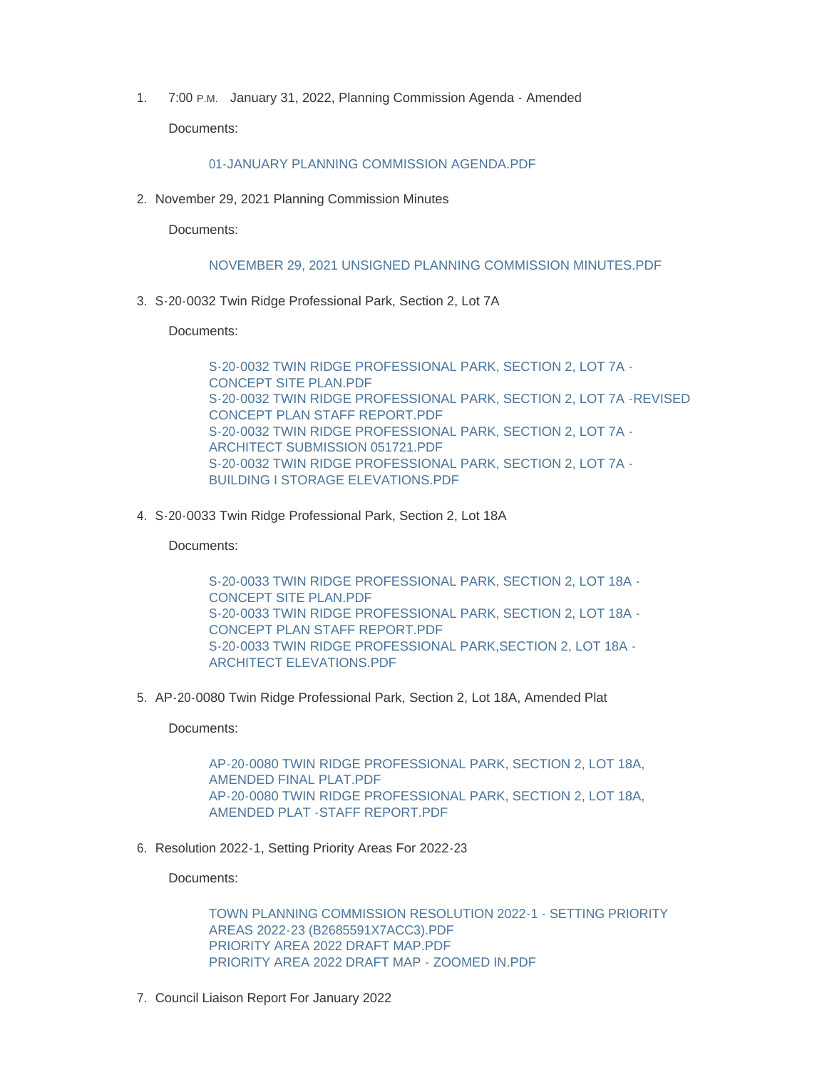1. 7:00 P.M. January 31, 2022, Planning Commission Agenda - Amended Documents:

## [01-JANUARY PLANNING COMMISSION AGENDA.PDF](https://www.mountairymd.org/AgendaCenter/ViewFile/Item/1513?fileID=36691)

2. November 29, 2021 Planning Commission Minutes

Documents:

## [NOVEMBER 29, 2021 UNSIGNED PLANNING COMMISSION MINUTES.PDF](https://www.mountairymd.org/AgendaCenter/ViewFile/Item/1514?fileID=36692)

S-20-0032 Twin Ridge Professional Park, Section 2, Lot 7A 3.

Documents:

[S-20-0032 TWIN RIDGE PROFESSIONAL PARK, SECTION 2, LOT 7A -](https://www.mountairymd.org/AgendaCenter/ViewFile/Item/1515?fileID=36693) CONCEPT SITE PLAN.PDF [S-20-0032 TWIN RIDGE PROFESSIONAL PARK, SECTION 2, LOT 7A -REVISED](https://www.mountairymd.org/AgendaCenter/ViewFile/Item/1515?fileID=36694)  CONCEPT PLAN STAFF REPORT.PDF [S-20-0032 TWIN RIDGE PROFESSIONAL PARK, SECTION 2, LOT 7A -](https://www.mountairymd.org/AgendaCenter/ViewFile/Item/1515?fileID=36695) ARCHITECT SUBMISSION 051721.PDF [S-20-0032 TWIN RIDGE PROFESSIONAL PARK, SECTION 2, LOT 7A -](https://www.mountairymd.org/AgendaCenter/ViewFile/Item/1515?fileID=36696) BUILDING I STORAGE ELEVATIONS.PDF

S-20-0033 Twin Ridge Professional Park, Section 2, Lot 18A 4.

Documents:

[S-20-0033 TWIN RIDGE PROFESSIONAL PARK, SECTION 2, LOT 18A -](https://www.mountairymd.org/AgendaCenter/ViewFile/Item/1516?fileID=36697) CONCEPT SITE PLAN.PDF [S-20-0033 TWIN RIDGE PROFESSIONAL PARK, SECTION 2, LOT 18A -](https://www.mountairymd.org/AgendaCenter/ViewFile/Item/1516?fileID=36698) CONCEPT PLAN STAFF REPORT.PDF [S-20-0033 TWIN RIDGE PROFESSIONAL PARK,SECTION 2, LOT 18A -](https://www.mountairymd.org/AgendaCenter/ViewFile/Item/1516?fileID=36699) ARCHITECT ELEVATIONS.PDF

5. AP-20-0080 Twin Ridge Professional Park, Section 2, Lot 18A, Amended Plat

Documents:

[AP-20-0080 TWIN RIDGE PROFESSIONAL PARK, SECTION 2, LOT 18A,](https://www.mountairymd.org/AgendaCenter/ViewFile/Item/1517?fileID=36700)  AMENDED FINAL PLAT.PDF [AP-20-0080 TWIN RIDGE PROFESSIONAL PARK, SECTION 2, LOT 18A,](https://www.mountairymd.org/AgendaCenter/ViewFile/Item/1517?fileID=36701)  AMENDED PLAT -STAFF REPORT.PDF

6. Resolution 2022-1, Setting Priority Areas For 2022-23

Documents:

[TOWN PLANNING COMMISSION RESOLUTION 2022-1 - SETTING PRIORITY](https://www.mountairymd.org/AgendaCenter/ViewFile/Item/1518?fileID=36702)  AREAS 2022-23 (B2685591X7ACC3).PDF [PRIORITY AREA 2022 DRAFT MAP.PDF](https://www.mountairymd.org/AgendaCenter/ViewFile/Item/1518?fileID=36703) [PRIORITY AREA 2022 DRAFT MAP - ZOOMED IN.PDF](https://www.mountairymd.org/AgendaCenter/ViewFile/Item/1518?fileID=36704)

7. Council Liaison Report For January 2022